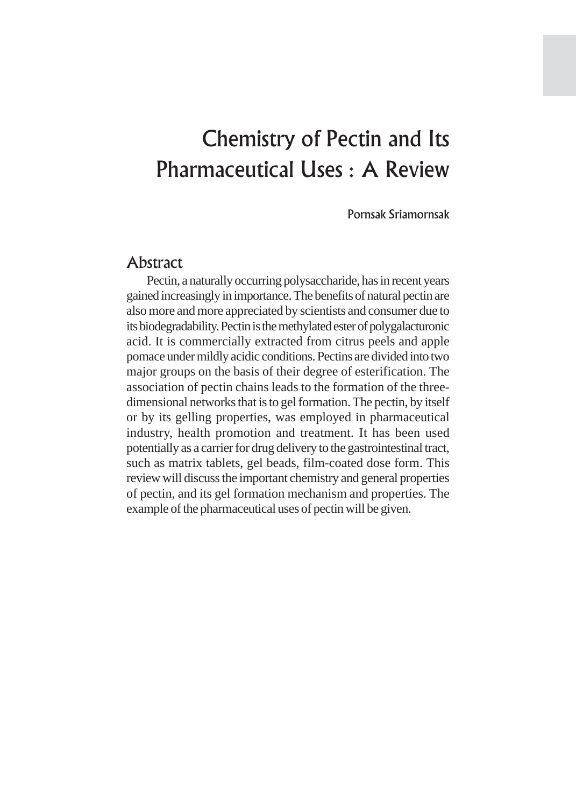# Chemistry of Pectin and Its Pharmaceutical Uses : A Review

Pornsak Sriamornsak

# Abstract

Pectin, a naturally occurring polysaccharide, has in recent years gained increasingly in importance. The benefits of natural pectin are also more and more appreciated by scientists and consumer due to its biodegradability. Pectin is the methylated ester of polygalacturonic acid. It is commercially extracted from citrus peels and apple pomace under mildly acidic conditions. Pectins are divided into two major groups on the basis of their degree of esterification. The association of pectin chains leads to the formation of the threedimensional networks that is to gel formation. The pectin, by itself or by its gelling properties, was employed in pharmaceutical industry, health promotion and treatment. It has been used potentially as a carrier for drug delivery to the gastrointestinal tract, such as matrix tablets, gel beads, film-coated dose form. This review will discuss the important chemistry and general properties of pectin, and its gel formation mechanism and properties. The example of the pharmaceutical uses of pectin will be given.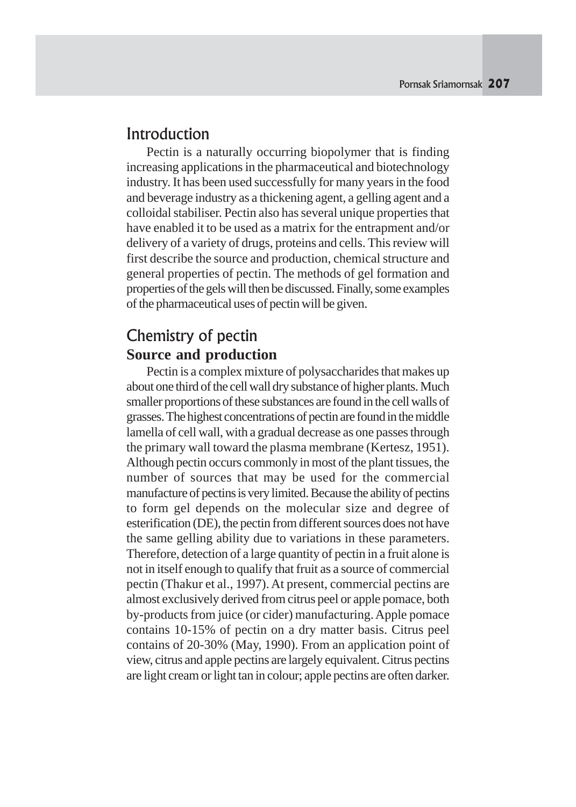# Introduction

Pectin is a naturally occurring biopolymer that is finding increasing applications in the pharmaceutical and biotechnology industry. It has been used successfully for many years in the food and beverage industry as a thickening agent, a gelling agent and a colloidal stabiliser. Pectin also has several unique properties that have enabled it to be used as a matrix for the entrapment and/or delivery of a variety of drugs, proteins and cells. This review will first describe the source and production, chemical structure and general properties of pectin. The methods of gel formation and properties of the gels will then be discussed. Finally, some examples of the pharmaceutical uses of pectin will be given.

# Chemistry of pectin **Source and production**

Pectin is a complex mixture of polysaccharides that makes up about one third of the cell wall dry substance of higher plants. Much smaller proportions of these substances are found in the cell walls of grasses. The highest concentrations of pectin are found in the middle lamella of cell wall, with a gradual decrease as one passes through the primary wall toward the plasma membrane (Kertesz, 1951). Although pectin occurs commonly in most of the plant tissues, the number of sources that may be used for the commercial manufacture of pectins is very limited. Because the ability of pectins to form gel depends on the molecular size and degree of esterification (DE), the pectin from different sources does not have the same gelling ability due to variations in these parameters. Therefore, detection of a large quantity of pectin in a fruit alone is not in itself enough to qualify that fruit as a source of commercial pectin (Thakur et al., 1997). At present, commercial pectins are almost exclusively derived from citrus peel or apple pomace, both by-products from juice (or cider) manufacturing. Apple pomace contains 10-15% of pectin on a dry matter basis. Citrus peel contains of 20-30% (May, 1990). From an application point of view, citrus and apple pectins are largely equivalent. Citrus pectins are light cream or light tan in colour; apple pectins are often darker.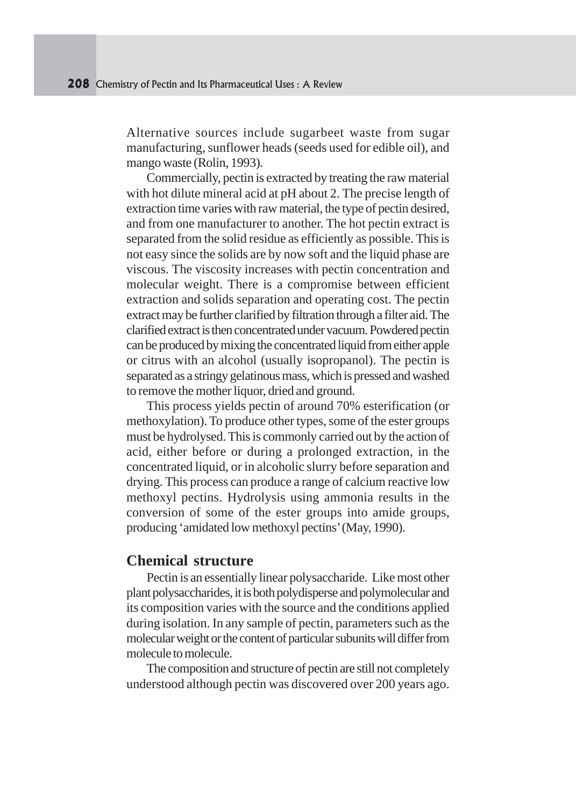Alternative sources include sugarbeet waste from sugar manufacturing, sunflower heads (seeds used for edible oil), and mango waste (Rolin, 1993).

Commercially, pectin is extracted by treating the raw material with hot dilute mineral acid at pH about 2. The precise length of extraction time varies with raw material, the type of pectin desired, and from one manufacturer to another. The hot pectin extract is separated from the solid residue as efficiently as possible. This is not easy since the solids are by now soft and the liquid phase are viscous. The viscosity increases with pectin concentration and molecular weight. There is a compromise between efficient extraction and solids separation and operating cost. The pectin extract may be further clarified by filtration through a filter aid. The clarified extract is then concentrated under vacuum. Powdered pectin can be produced by mixing the concentrated liquid from either apple or citrus with an alcohol (usually isopropanol). The pectin is separated as a stringy gelatinous mass, which is pressed and washed to remove the mother liquor, dried and ground.

This process yields pectin of around 70% esterification (or methoxylation). To produce other types, some of the ester groups must be hydrolysed. This is commonly carried out by the action of acid, either before or during a prolonged extraction, in the concentrated liquid, or in alcoholic slurry before separation and drying. This process can produce a range of calcium reactive low methoxyl pectins. Hydrolysis using ammonia results in the conversion of some of the ester groups into amide groups, producing 'amidated low methoxyl pectins' (May, 1990).

#### **Chemical structure**

Pectin is an essentially linear polysaccharide. Like most other plant polysaccharides, it is both polydisperse and polymolecular and its composition varies with the source and the conditions applied during isolation. In any sample of pectin, parameters such as the molecular weight or the content of particular subunits will differ from molecule to molecule.

The composition and structure of pectin are still not completely understood although pectin was discovered over 200 years ago.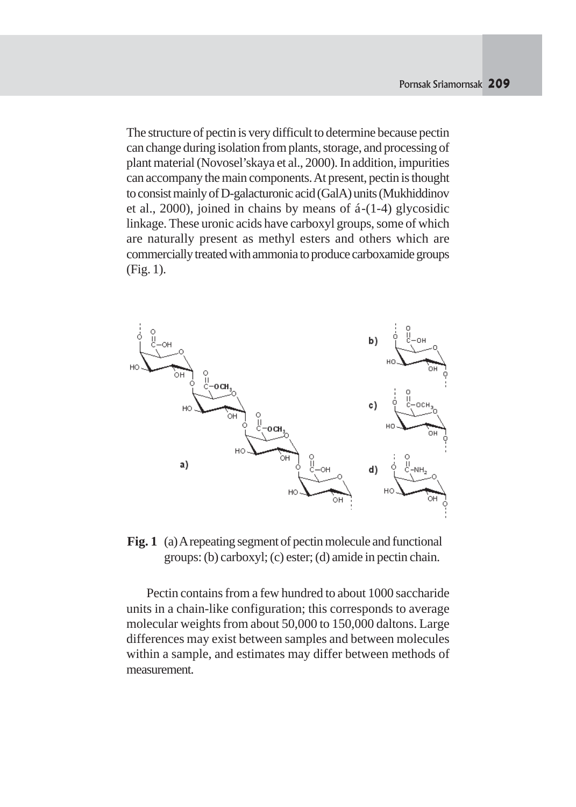The structure of pectin is very difficult to determine because pectin can change during isolation from plants, storage, and processing of plant material (Novosel'skaya et al., 2000). In addition, impurities can accompany the main components. At present, pectin is thought to consist mainly of D-galacturonic acid (GalA) units (Mukhiddinov et al., 2000), joined in chains by means of á-(1-4) glycosidic linkage. These uronic acids have carboxyl groups, some of which are naturally present as methyl esters and others which are commercially treated with ammonia to produce carboxamide groups (Fig. 1).



**Fig. 1** (a) A repeating segment of pectin molecule and functional groups: (b) carboxyl; (c) ester; (d) amide in pectin chain.

Pectin contains from a few hundred to about 1000 saccharide units in a chain-like configuration; this corresponds to average molecular weights from about 50,000 to 150,000 daltons. Large differences may exist between samples and between molecules within a sample, and estimates may differ between methods of measurement.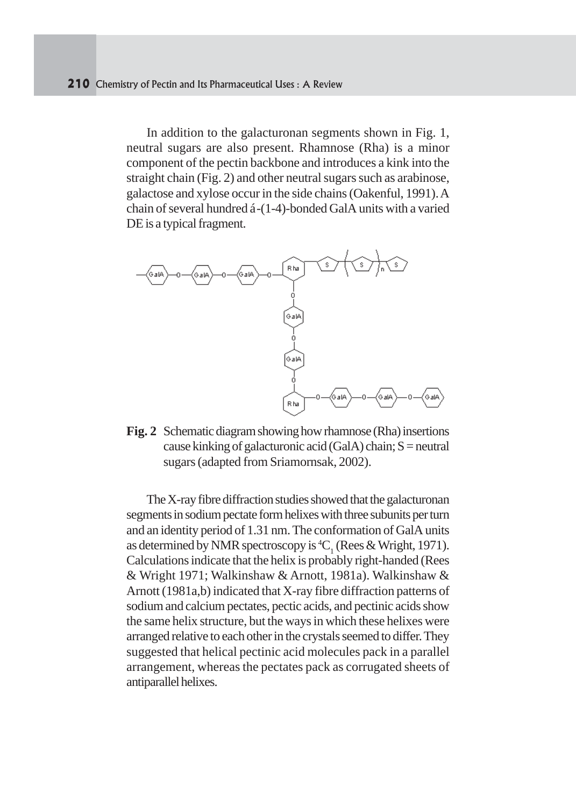In addition to the galacturonan segments shown in Fig. 1, neutral sugars are also present. Rhamnose (Rha) is a minor component of the pectin backbone and introduces a kink into the straight chain (Fig. 2) and other neutral sugars such as arabinose, galactose and xylose occur in the side chains (Oakenful, 1991). A chain of several hundred á-(1-4)-bonded GalA units with a varied DE is a typical fragment.



**Fig. 2** Schematic diagram showing how rhamnose (Rha) insertions cause kinking of galacturonic acid (GalA) chain;  $S =$  neutral sugars (adapted from Sriamornsak, 2002).

The X-ray fibre diffraction studies showed that the galacturonan segments in sodium pectate form helixes with three subunits per turn and an identity period of 1.31 nm. The conformation of GalA units as determined by NMR spectroscopy is <sup>4</sup>C<sub>1</sub> (Rees & Wright, 1971). Calculations indicate that the helix is probably right-handed (Rees & Wright 1971; Walkinshaw & Arnott, 1981a). Walkinshaw & Arnott (1981a,b) indicated that X-ray fibre diffraction patterns of sodium and calcium pectates, pectic acids, and pectinic acids show the same helix structure, but the ways in which these helixes were arranged relative to each other in the crystals seemed to differ. They suggested that helical pectinic acid molecules pack in a parallel arrangement, whereas the pectates pack as corrugated sheets of antiparallel helixes.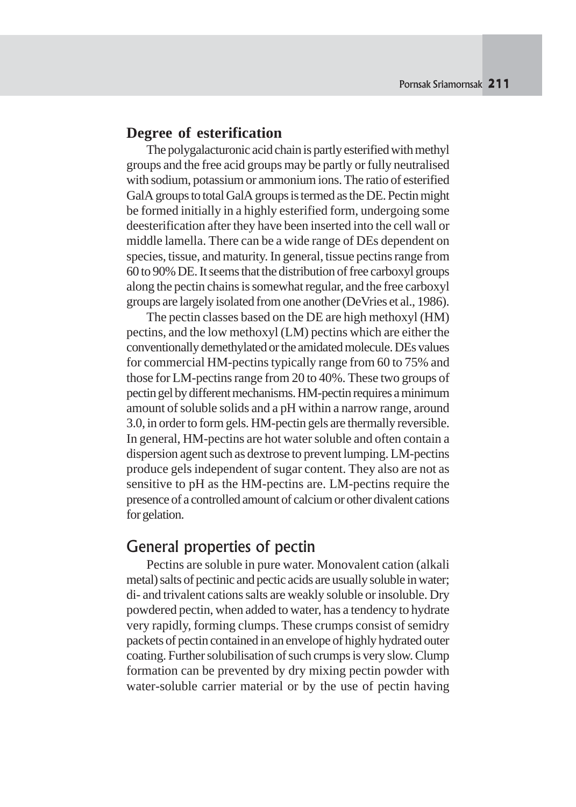#### **Degree of esterification**

The polygalacturonic acid chain is partly esterified with methyl groups and the free acid groups may be partly or fully neutralised with sodium, potassium or ammonium ions. The ratio of esterified GalA groups to total GalA groups is termed as the DE. Pectin might be formed initially in a highly esterified form, undergoing some deesterification after they have been inserted into the cell wall or middle lamella. There can be a wide range of DEs dependent on species, tissue, and maturity. In general, tissue pectins range from 60 to 90% DE. It seems that the distribution of free carboxyl groups along the pectin chains is somewhat regular, and the free carboxyl groups are largely isolated from one another (DeVries et al., 1986).

The pectin classes based on the DE are high methoxyl (HM) pectins, and the low methoxyl (LM) pectins which are either the conventionally demethylated or the amidated molecule. DEs values for commercial HM-pectins typically range from 60 to 75% and those for LM-pectins range from 20 to 40%. These two groups of pectin gel by different mechanisms. HM-pectin requires a minimum amount of soluble solids and a pH within a narrow range, around 3.0, in order to form gels. HM-pectin gels are thermally reversible. In general, HM-pectins are hot water soluble and often contain a dispersion agent such as dextrose to prevent lumping. LM-pectins produce gels independent of sugar content. They also are not as sensitive to pH as the HM-pectins are. LM-pectins require the presence of a controlled amount of calcium or other divalent cations for gelation.

# General properties of pectin

Pectins are soluble in pure water. Monovalent cation (alkali metal) salts of pectinic and pectic acids are usually soluble in water; di- and trivalent cations salts are weakly soluble or insoluble. Dry powdered pectin, when added to water, has a tendency to hydrate very rapidly, forming clumps. These crumps consist of semidry packets of pectin contained in an envelope of highly hydrated outer coating. Further solubilisation of such crumps is very slow. Clump formation can be prevented by dry mixing pectin powder with water-soluble carrier material or by the use of pectin having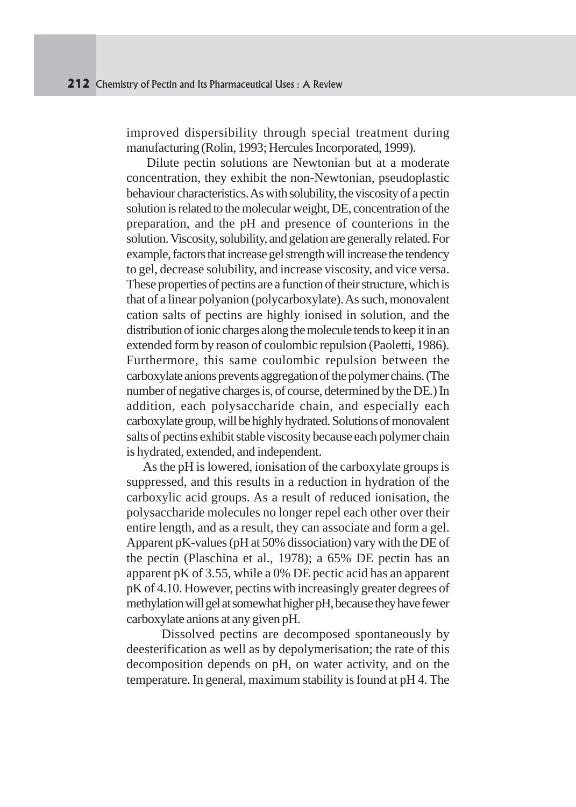improved dispersibility through special treatment during manufacturing (Rolin, 1993; Hercules Incorporated, 1999).

Dilute pectin solutions are Newtonian but at a moderate concentration, they exhibit the non-Newtonian, pseudoplastic behaviour characteristics. As with solubility, the viscosity of a pectin solution is related to the molecular weight, DE, concentration of the preparation, and the pH and presence of counterions in the solution. Viscosity, solubility, and gelation are generally related. For example, factors that increase gel strength will increase the tendency to gel, decrease solubility, and increase viscosity, and vice versa. These properties of pectins are a function of their structure, which is that of a linear polyanion (polycarboxylate). As such, monovalent cation salts of pectins are highly ionised in solution, and the distribution of ionic charges along the molecule tends to keep it in an extended form by reason of coulombic repulsion (Paoletti, 1986). Furthermore, this same coulombic repulsion between the carboxylate anions prevents aggregation of the polymer chains. (The number of negative charges is, of course, determined by the DE.) In addition, each polysaccharide chain, and especially each carboxylate group, will be highly hydrated. Solutions of monovalent salts of pectins exhibit stable viscosity because each polymer chain is hydrated, extended, and independent.

 As the pH is lowered, ionisation of the carboxylate groups is suppressed, and this results in a reduction in hydration of the carboxylic acid groups. As a result of reduced ionisation, the polysaccharide molecules no longer repel each other over their entire length, and as a result, they can associate and form a gel. Apparent pK-values (pH at 50% dissociation) vary with the DE of the pectin (Plaschina et al., 1978); a 65% DE pectin has an apparent pK of 3.55, while a 0% DE pectic acid has an apparent pK of 4.10. However, pectins with increasingly greater degrees of methylation will gel at somewhat higher pH, because they have fewer carboxylate anions at any given pH.

 Dissolved pectins are decomposed spontaneously by deesterification as well as by depolymerisation; the rate of this decomposition depends on pH, on water activity, and on the temperature. In general, maximum stability is found at pH 4. The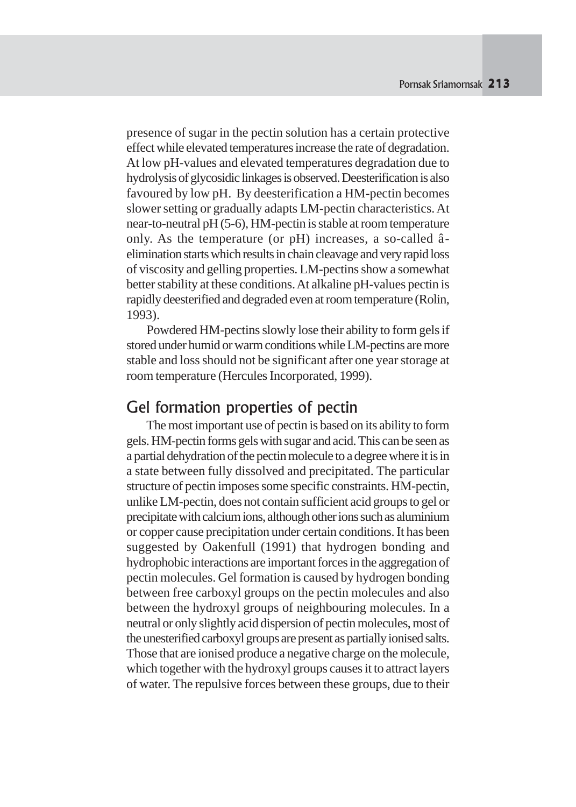presence of sugar in the pectin solution has a certain protective effect while elevated temperatures increase the rate of degradation. At low pH-values and elevated temperatures degradation due to hydrolysis of glycosidic linkages is observed. Deesterification is also favoured by low pH. By deesterification a HM-pectin becomes slower setting or gradually adapts LM-pectin characteristics. At near-to-neutral pH (5-6), HM-pectin is stable at room temperature only. As the temperature (or pH) increases, a so-called âelimination starts which results in chain cleavage and very rapid loss of viscosity and gelling properties. LM-pectins show a somewhat better stability at these conditions. At alkaline pH-values pectin is rapidly deesterified and degraded even at room temperature (Rolin, 1993).

Powdered HM-pectins slowly lose their ability to form gels if stored under humid or warm conditions while LM-pectins are more stable and loss should not be significant after one year storage at room temperature (Hercules Incorporated, 1999).

## Gel formation properties of pectin

The most important use of pectin is based on its ability to form gels. HM-pectin forms gels with sugar and acid. This can be seen as a partial dehydration of the pectin molecule to a degree where it is in a state between fully dissolved and precipitated. The particular structure of pectin imposes some specific constraints. HM-pectin, unlike LM-pectin, does not contain sufficient acid groups to gel or precipitate with calcium ions, although other ions such as aluminium or copper cause precipitation under certain conditions. It has been suggested by Oakenfull (1991) that hydrogen bonding and hydrophobic interactions are important forces in the aggregation of pectin molecules. Gel formation is caused by hydrogen bonding between free carboxyl groups on the pectin molecules and also between the hydroxyl groups of neighbouring molecules. In a neutral or only slightly acid dispersion of pectin molecules, most of the unesterified carboxyl groups are present as partially ionised salts. Those that are ionised produce a negative charge on the molecule, which together with the hydroxyl groups causes it to attract layers of water. The repulsive forces between these groups, due to their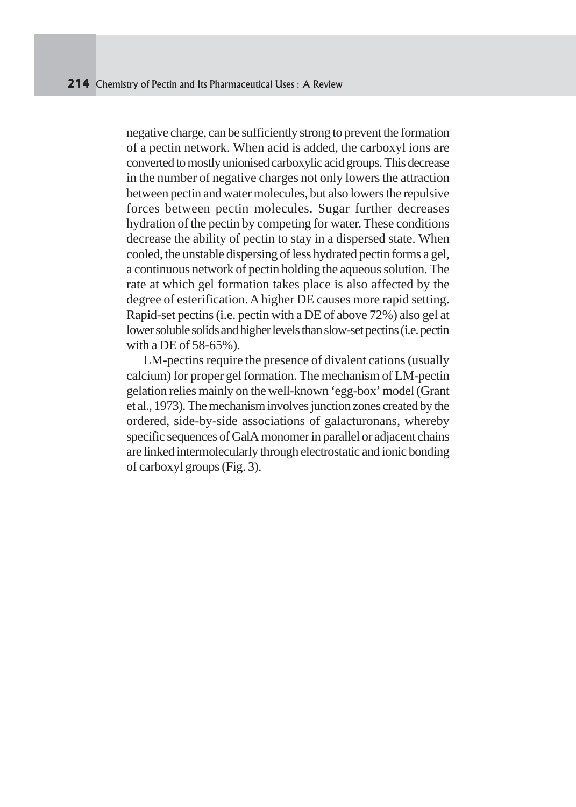negative charge, can be sufficiently strong to prevent the formation of a pectin network. When acid is added, the carboxyl ions are converted to mostly unionised carboxylic acid groups. This decrease in the number of negative charges not only lowers the attraction between pectin and water molecules, but also lowers the repulsive forces between pectin molecules. Sugar further decreases hydration of the pectin by competing for water. These conditions decrease the ability of pectin to stay in a dispersed state. When cooled, the unstable dispersing of less hydrated pectin forms a gel, a continuous network of pectin holding the aqueous solution. The rate at which gel formation takes place is also affected by the degree of esterification. A higher DE causes more rapid setting. Rapid-set pectins (i.e. pectin with a DE of above 72%) also gel at lower soluble solids and higher levels than slow-set pectins (i.e. pectin with a DE of 58-65%).

 LM-pectins require the presence of divalent cations (usually calcium) for proper gel formation. The mechanism of LM-pectin gelation relies mainly on the well-known 'egg-box' model (Grant et al., 1973). The mechanism involves junction zones created by the ordered, side-by-side associations of galacturonans, whereby specific sequences of GalA monomer in parallel or adjacent chains are linked intermolecularly through electrostatic and ionic bonding of carboxyl groups (Fig. 3).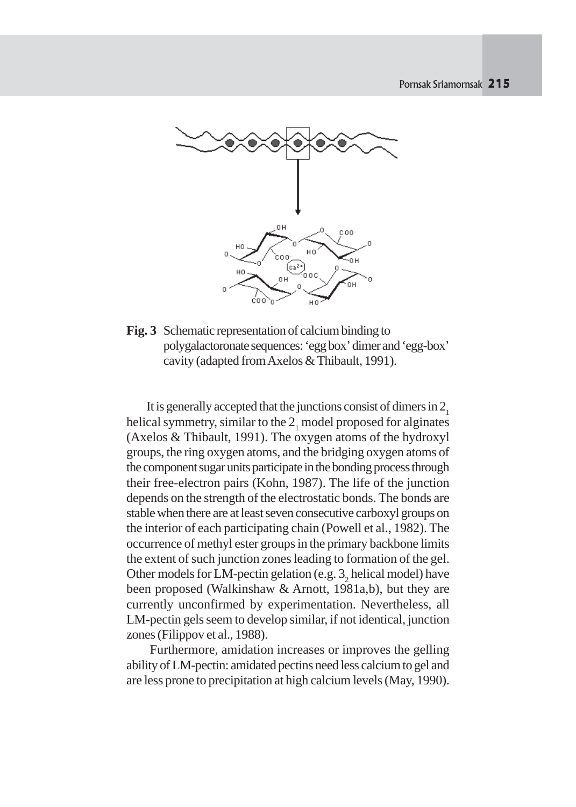

**Fig. 3** Schematic representation of calcium binding to polygalactoronate sequences: 'egg box' dimer and 'egg-box' cavity (adapted from Axelos & Thibault, 1991).

It is generally accepted that the junctions consist of dimers in  $2<sub>1</sub>$ helical symmetry, similar to the  $2<sub>1</sub>$  model proposed for alginates (Axelos & Thibault, 1991). The oxygen atoms of the hydroxyl groups, the ring oxygen atoms, and the bridging oxygen atoms of the component sugar units participate in the bonding process through their free-electron pairs (Kohn, 1987). The life of the junction depends on the strength of the electrostatic bonds. The bonds are stable when there are at least seven consecutive carboxyl groups on the interior of each participating chain (Powell et al., 1982). The occurrence of methyl ester groups in the primary backbone limits the extent of such junction zones leading to formation of the gel. Other models for LM-pectin gelation (e.g.  $3<sub>2</sub>$  helical model) have been proposed (Walkinshaw & Arnott, 1981a,b), but they are currently unconfirmed by experimentation. Nevertheless, all LM-pectin gels seem to develop similar, if not identical, junction zones (Filippov et al., 1988).

 Furthermore, amidation increases or improves the gelling ability of LM-pectin: amidated pectins need less calcium to gel and are less prone to precipitation at high calcium levels (May, 1990).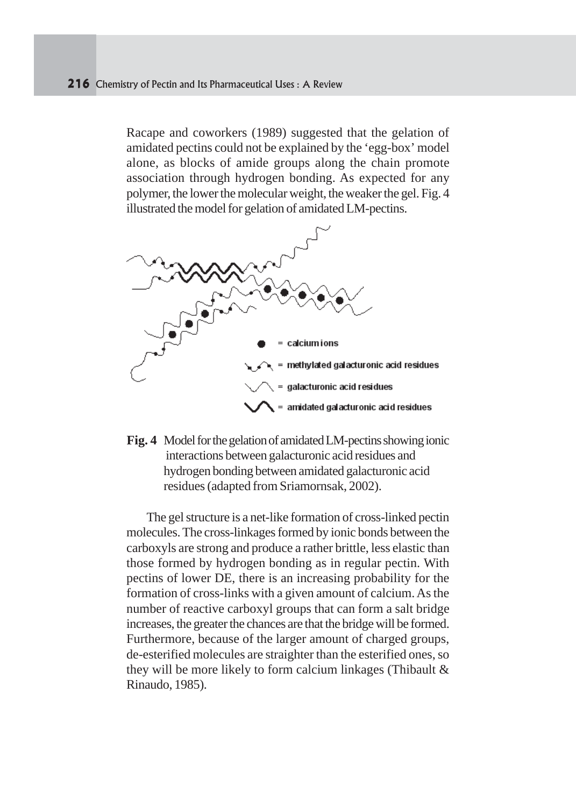Racape and coworkers (1989) suggested that the gelation of amidated pectins could not be explained by the 'egg-box' model alone, as blocks of amide groups along the chain promote association through hydrogen bonding. As expected for any polymer, the lower the molecular weight, the weaker the gel. Fig. 4 illustrated the model for gelation of amidated LM-pectins.



**Fig. 4** Model for the gelation of amidated LM-pectins showing ionic interactions between galacturonic acid residues and hydrogen bonding between amidated galacturonic acid residues (adapted from Sriamornsak, 2002).

The gel structure is a net-like formation of cross-linked pectin molecules. The cross-linkages formed by ionic bonds between the carboxyls are strong and produce a rather brittle, less elastic than those formed by hydrogen bonding as in regular pectin. With pectins of lower DE, there is an increasing probability for the formation of cross-links with a given amount of calcium. As the number of reactive carboxyl groups that can form a salt bridge increases, the greater the chances are that the bridge will be formed. Furthermore, because of the larger amount of charged groups, de-esterified molecules are straighter than the esterified ones, so they will be more likely to form calcium linkages (Thibault & Rinaudo, 1985).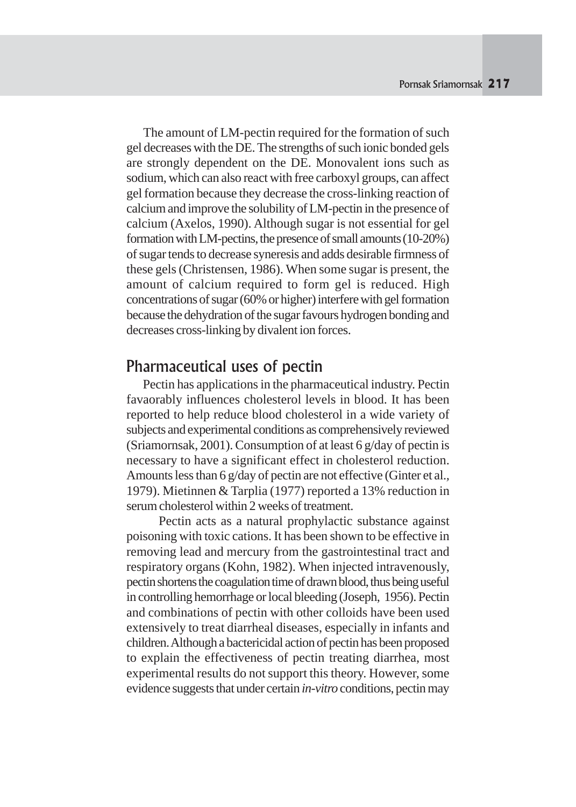The amount of LM-pectin required for the formation of such gel decreases with the DE. The strengths of such ionic bonded gels are strongly dependent on the DE. Monovalent ions such as sodium, which can also react with free carboxyl groups, can affect gel formation because they decrease the cross-linking reaction of calcium and improve the solubility of LM-pectin in the presence of calcium (Axelos, 1990). Although sugar is not essential for gel formation with LM-pectins, the presence of small amounts (10-20%) of sugar tends to decrease syneresis and adds desirable firmness of these gels (Christensen, 1986). When some sugar is present, the amount of calcium required to form gel is reduced. High concentrations of sugar (60% or higher) interfere with gel formation because the dehydration of the sugar favours hydrogen bonding and decreases cross-linking by divalent ion forces.

#### Pharmaceutical uses of pectin

 Pectin has applications in the pharmaceutical industry. Pectin favaorably influences cholesterol levels in blood. It has been reported to help reduce blood cholesterol in a wide variety of subjects and experimental conditions as comprehensively reviewed (Sriamornsak, 2001). Consumption of at least 6 g/day of pectin is necessary to have a significant effect in cholesterol reduction. Amounts less than 6 g/day of pectin are not effective (Ginter et al.*,* 1979). Mietinnen & Tarplia (1977) reported a 13% reduction in serum cholesterol within 2 weeks of treatment.

 Pectin acts as a natural prophylactic substance against poisoning with toxic cations. It has been shown to be effective in removing lead and mercury from the gastrointestinal tract and respiratory organs (Kohn, 1982). When injected intravenously, pectin shortens the coagulation time of drawn blood, thus being useful in controlling hemorrhage or local bleeding (Joseph, 1956). Pectin and combinations of pectin with other colloids have been used extensively to treat diarrheal diseases, especially in infants and children. Although a bactericidal action of pectin has been proposed to explain the effectiveness of pectin treating diarrhea, most experimental results do not support this theory. However, some evidence suggests that under certain *in-vitro* conditions, pectin may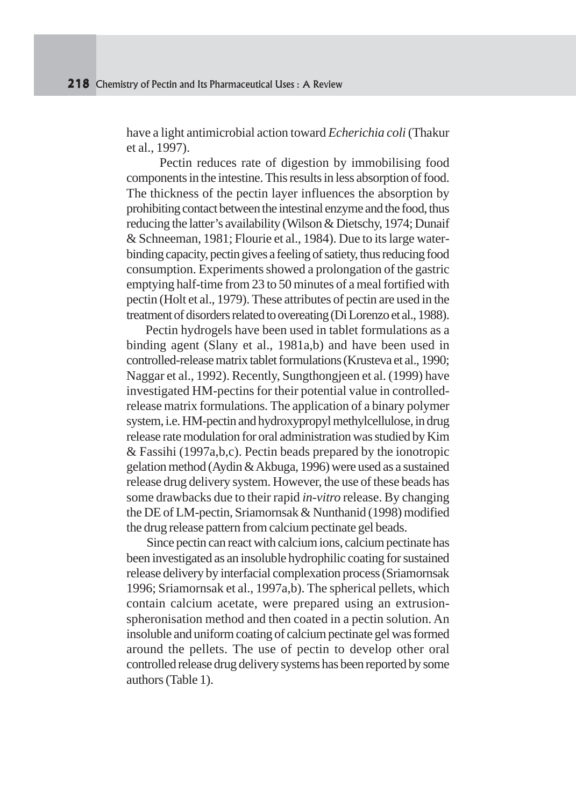have a light antimicrobial action toward *Echerichia coli* (Thakur et al., 1997).

 Pectin reduces rate of digestion by immobilising food components in the intestine. This results in less absorption of food. The thickness of the pectin layer influences the absorption by prohibiting contact between the intestinal enzyme and the food, thus reducing the latter's availability (Wilson & Dietschy, 1974; Dunaif & Schneeman, 1981; Flourie et al., 1984). Due to its large waterbinding capacity, pectin gives a feeling of satiety, thus reducing food consumption. Experiments showed a prolongation of the gastric emptying half-time from 23 to 50 minutes of a meal fortified with pectin (Holt et al., 1979). These attributes of pectin are used in the treatment of disorders related to overeating (Di Lorenzo et al., 1988).

 Pectin hydrogels have been used in tablet formulations as a binding agent (Slany et al., 1981a,b) and have been used in controlled-release matrix tablet formulations (Krusteva et al., 1990; Naggar et al., 1992). Recently, Sungthongjeen et al. (1999) have investigated HM-pectins for their potential value in controlledrelease matrix formulations. The application of a binary polymer system, i.e. HM-pectin and hydroxypropyl methylcellulose, in drug release rate modulation for oral administration was studied by Kim & Fassihi (1997a,b,c). Pectin beads prepared by the ionotropic gelation method (Aydin & Akbuga, 1996) were used as a sustained release drug delivery system. However, the use of these beads has some drawbacks due to their rapid *in-vitro* release. By changing the DE of LM-pectin, Sriamornsak & Nunthanid (1998) modified the drug release pattern from calcium pectinate gel beads.

Since pectin can react with calcium ions, calcium pectinate has been investigated as an insoluble hydrophilic coating for sustained release delivery by interfacial complexation process (Sriamornsak 1996; Sriamornsak et al., 1997a,b). The spherical pellets, which contain calcium acetate, were prepared using an extrusionspheronisation method and then coated in a pectin solution. An insoluble and uniform coating of calcium pectinate gel was formed around the pellets. The use of pectin to develop other oral controlled release drug delivery systems has been reported by some authors (Table 1).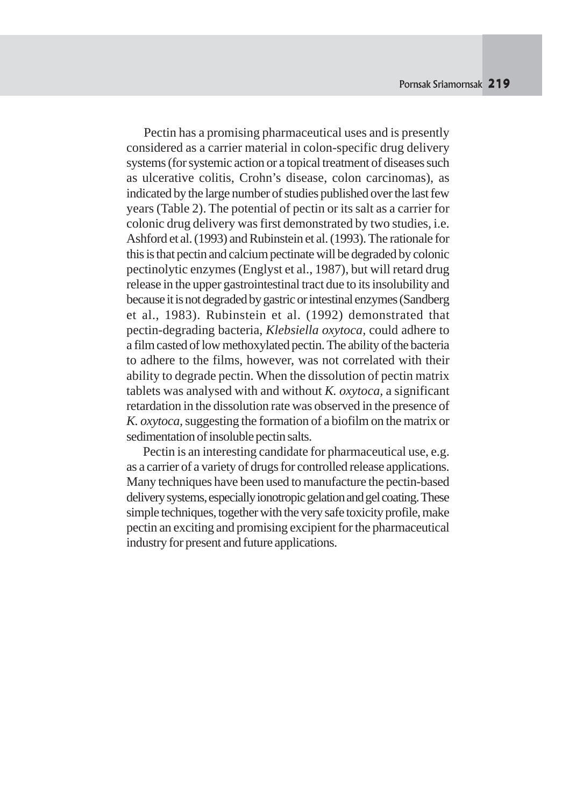Pectin has a promising pharmaceutical uses and is presently considered as a carrier material in colon-specific drug delivery systems (for systemic action or a topical treatment of diseases such as ulcerative colitis, Crohn's disease, colon carcinomas), as indicated by the large number of studies published over the last few years (Table 2). The potential of pectin or its salt as a carrier for colonic drug delivery was first demonstrated by two studies, i.e. Ashford et al. (1993) and Rubinstein et al. (1993). The rationale for this is that pectin and calcium pectinate will be degraded by colonic pectinolytic enzymes (Englyst et al., 1987), but will retard drug release in the upper gastrointestinal tract due to its insolubility and because it is not degraded by gastric or intestinal enzymes (Sandberg et al.*,* 1983). Rubinstein et al. (1992) demonstrated that pectin-degrading bacteria, *Klebsiella oxytoca,* could adhere to a film casted of low methoxylated pectin. The ability of the bacteria to adhere to the films, however, was not correlated with their ability to degrade pectin. When the dissolution of pectin matrix tablets was analysed with and without *K. oxytoca,* a significant retardation in the dissolution rate was observed in the presence of *K. oxytoca,* suggesting the formation of a biofilm on the matrix or sedimentation of insoluble pectin salts.

 Pectin is an interesting candidate for pharmaceutical use, e.g. as a carrier of a variety of drugs for controlled release applications. Many techniques have been used to manufacture the pectin-based delivery systems, especially ionotropic gelation and gel coating. These simple techniques, together with the very safe toxicity profile, make pectin an exciting and promising excipient for the pharmaceutical industry for present and future applications.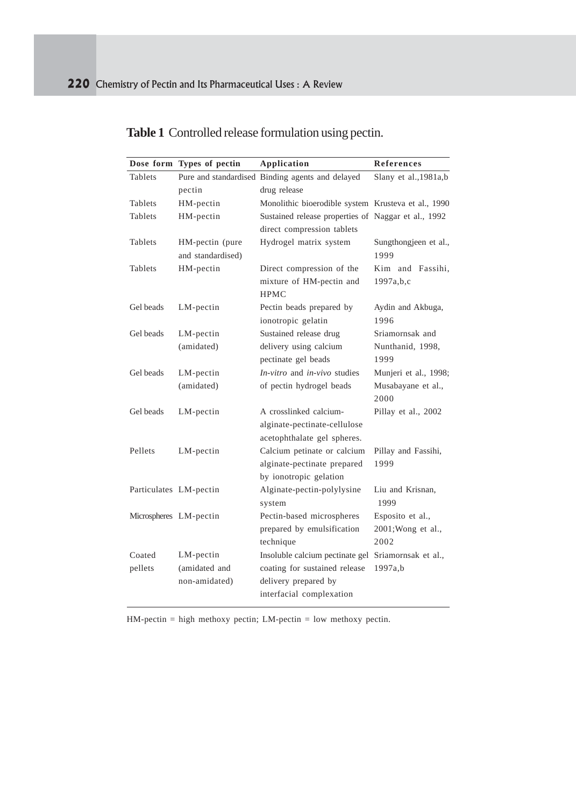| Dose form              | Types of pectin   | <b>Application</b>                                  | <b>References</b>      |
|------------------------|-------------------|-----------------------------------------------------|------------------------|
| Tablets                |                   | Pure and standardised Binding agents and delayed    | Slany et al., 1981a, b |
|                        | pectin            | drug release                                        |                        |
| Tablets                | HM-pectin         | Monolithic bioerodible system Krusteva et al., 1990 |                        |
| Tablets                | HM-pectin         | Sustained release properties of Naggar et al., 1992 |                        |
|                        |                   | direct compression tablets                          |                        |
| Tablets                | HM-pectin (pure   | Hydrogel matrix system                              | Sungthongjeen et al.,  |
|                        | and standardised) |                                                     | 1999                   |
| Tablets                | HM-pectin         | Direct compression of the                           | Kim and Fassihi,       |
|                        |                   | mixture of HM-pectin and                            | 1997a,b,c              |
|                        |                   | <b>HPMC</b>                                         |                        |
| Gel beads              | LM-pectin         | Pectin beads prepared by                            | Aydin and Akbuga,      |
|                        |                   | ionotropic gelatin                                  | 1996                   |
| Gel beads              | LM-pectin         | Sustained release drug                              | Sriamornsak and        |
|                        | (amidated)        | delivery using calcium                              | Nunthanid, 1998,       |
|                        |                   | pectinate gel beads                                 | 1999                   |
| Gel beads              | LM-pectin         | In-vitro and in-vivo studies                        | Munjeri et al., 1998;  |
|                        | (amidated)        | of pectin hydrogel beads                            | Musabayane et al.,     |
|                        |                   |                                                     | 2000                   |
| Gel beads              | LM-pectin         | A crosslinked calcium-                              | Pillay et al., 2002    |
|                        |                   | alginate-pectinate-cellulose                        |                        |
|                        |                   | acetophthalate gel spheres.                         |                        |
| Pellets                | LM-pectin         | Calcium petinate or calcium                         | Pillay and Fassihi,    |
|                        |                   | alginate-pectinate prepared                         | 1999                   |
|                        |                   | by ionotropic gelation                              |                        |
| Particulates LM-pectin |                   | Alginate-pectin-polylysine                          | Liu and Krisnan,       |
|                        |                   | system                                              | 1999                   |
| Microspheres LM-pectin |                   | Pectin-based microspheres                           | Esposito et al.,       |
|                        |                   | prepared by emulsification                          | 2001; Wong et al.,     |
|                        |                   | technique                                           | 2002                   |
| Coated                 | LM-pectin         | Insoluble calcium pectinate gel                     | Sriamornsak et al.,    |
| pellets                | (amidated and     | coating for sustained release                       | 1997a,b                |
|                        | non-amidated)     | delivery prepared by                                |                        |
|                        |                   | interfacial complexation                            |                        |

**Table 1** Controlled release formulation using pectin.

HM-pectin = high methoxy pectin; LM-pectin = low methoxy pectin.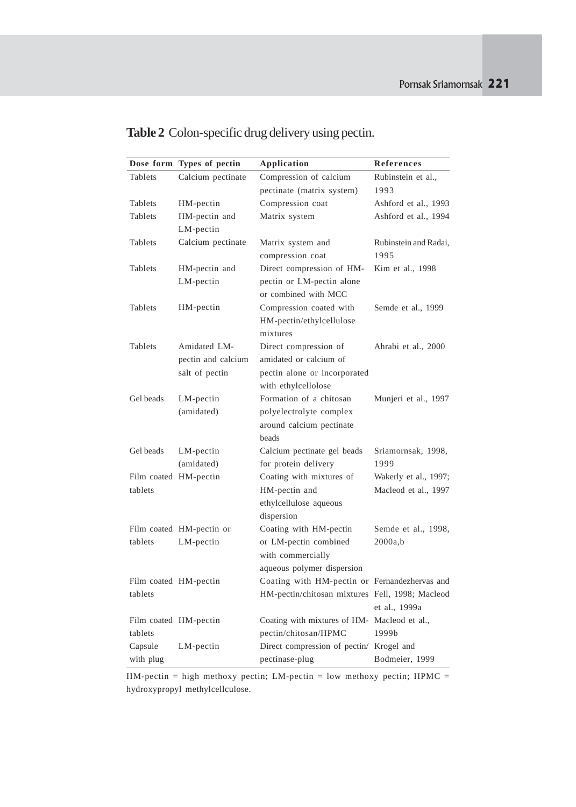|                       | Dose form Types of pectin | Application                                     | References            |
|-----------------------|---------------------------|-------------------------------------------------|-----------------------|
| Tablets               | Calcium pectinate         | Compression of calcium                          | Rubinstein et al.,    |
|                       |                           | pectinate (matrix system)                       | 1993                  |
| Tablets               | HM-pectin                 | Compression coat                                | Ashford et al., 1993  |
| Tablets               | HM-pectin and             | Matrix system                                   | Ashford et al., 1994  |
|                       | LM-pectin                 |                                                 |                       |
| Tablets               | Calcium pectinate         | Matrix system and                               | Rubinstein and Radai, |
|                       |                           | compression coat                                | 1995                  |
| Tablets               | HM-pectin and             | Direct compression of HM-                       | Kim et al., 1998      |
|                       | LM-pectin                 | pectin or LM-pectin alone                       |                       |
|                       |                           | or combined with MCC                            |                       |
| Tablets               | HM-pectin                 | Compression coated with                         | Semde et al., 1999    |
|                       |                           | HM-pectin/ethylcellulose                        |                       |
|                       |                           | mixtures                                        |                       |
| Tablets               | Amidated LM-              | Direct compression of                           | Ahrabi et al., 2000   |
|                       | pectin and calcium        | amidated or calcium of                          |                       |
|                       | salt of pectin            | pectin alone or incorporated                    |                       |
|                       |                           | with ethylcellolose                             |                       |
| Gel beads             | $LM$ -pectin              | Formation of a chitosan                         | Munjeri et al., 1997  |
|                       | (amidated)                | polyelectrolyte complex                         |                       |
|                       |                           | around calcium pectinate                        |                       |
|                       |                           | beads                                           |                       |
| Gel beads             | LM-pectin                 | Calcium pectinate gel beads                     | Sriamornsak, 1998,    |
|                       | (amidated)                | for protein delivery                            | 1999                  |
| Film coated HM-pectin |                           | Coating with mixtures of                        | Wakerly et al., 1997; |
| tablets               |                           | HM-pectin and                                   | Macleod et al., 1997  |
|                       |                           | ethylcellulose aqueous                          |                       |
|                       |                           | dispersion                                      |                       |
|                       | Film coated HM-pectin or  | Coating with HM-pectin                          | Semde et al., 1998,   |
| tablets               | LM-pectin                 | or LM-pectin combined                           | 2000a,b               |
|                       |                           | with commercially                               |                       |
|                       |                           | aqueous polymer dispersion                      |                       |
|                       | Film coated HM-pectin     | Coating with HM-pectin or Fernandezhervas and   |                       |
| tablets               |                           | HM-pectin/chitosan mixtures Fell, 1998; Macleod |                       |
|                       |                           |                                                 | et al., 1999a         |
| Film coated HM-pectin |                           | Coating with mixtures of HM- Macleod et al.,    |                       |
| tablets               |                           | pectin/chitosan/HPMC                            | 1999b                 |
| Capsule               | $LM$ -pectin              | Direct compression of pectin/ Krogel and        |                       |
| with plug             |                           | pectinase-plug                                  | Bodmeier, 1999        |

# **Table 2** Colon-specific drug delivery using pectin.

 $HM\text{-}pectin = high$  methoxy pectin; LM-pectin = low methoxy pectin;  $HPMC =$ hydroxypropyl methylcellculose.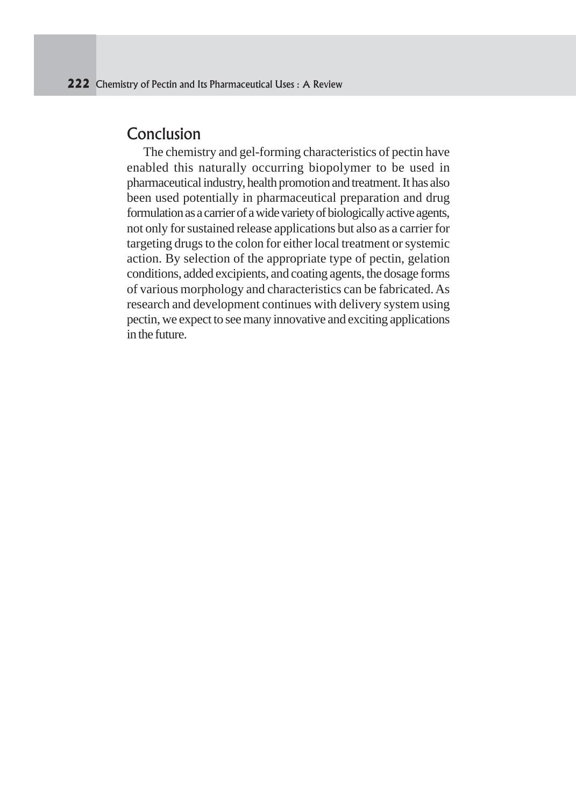## Conclusion

 The chemistry and gel-forming characteristics of pectin have enabled this naturally occurring biopolymer to be used in pharmaceutical industry, health promotion and treatment. It has also been used potentially in pharmaceutical preparation and drug formulation as a carrier of a wide variety of biologically active agents, not only for sustained release applications but also as a carrier for targeting drugs to the colon for either local treatment or systemic action. By selection of the appropriate type of pectin, gelation conditions, added excipients, and coating agents, the dosage forms of various morphology and characteristics can be fabricated. As research and development continues with delivery system using pectin, we expect to see many innovative and exciting applications in the future.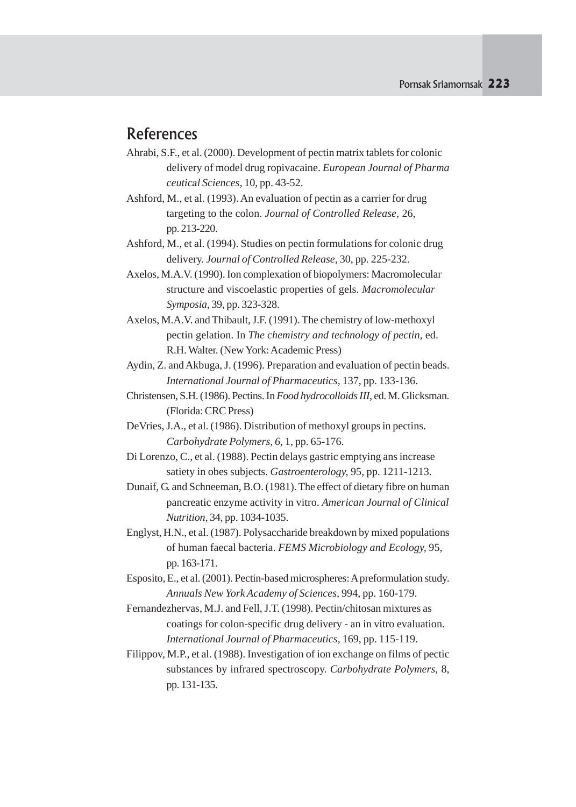## **References**

- Ahrabi, S.F., et al. (2000). Development of pectin matrix tablets for colonic delivery of model drug ropivacaine. *European Journal of Pharma ceutical Sciences,* 10, pp. 43-52.
- Ashford, M., et al. (1993). An evaluation of pectin as a carrier for drug targeting to the colon. *Journal of Controlled Release,* 26, pp. 213-220.
- Ashford, M., et al. (1994). Studies on pectin formulations for colonic drug delivery. *Journal of Controlled Release,* 30, pp. 225-232.
- Axelos, M.A.V. (1990). Ion complexation of biopolymers: Macromolecular structure and viscoelastic properties of gels. *Macromolecular Symposia,* 39, pp. 323-328.
- Axelos, M.A.V. and Thibault, J.F. (1991). The chemistry of low-methoxyl pectin gelation. In *The chemistry and technology of pectin,* ed. R.H. Walter. (New York: Academic Press)
- Aydin, Z. and Akbuga, J. (1996). Preparation and evaluation of pectin beads. *International Journal of Pharmaceutics,* 137, pp. 133-136.
- Christensen, S.H. (1986). Pectins. In *Food hydrocolloids III,* ed. M. Glicksman. (Florida: CRC Press)
- DeVries, J.A., et al. (1986). Distribution of methoxyl groups in pectins. *Carbohydrate Polymers, 6,* 1, pp. 65-176.
- Di Lorenzo, C., et al. (1988). Pectin delays gastric emptying ans increase satiety in obes subjects. *Gastroenterology,* 95, pp. 1211-1213.
- Dunaif, G. and Schneeman, B.O. (1981). The effect of dietary fibre on human pancreatic enzyme activity in vitro. *American Journal of Clinical Nutrition,* 34, pp. 1034-1035.
- Englyst, H.N., et al. (1987). Polysaccharide breakdown by mixed populations of human faecal bacteria. *FEMS Microbiology and Ecology,* 95, pp. 163-171.
- Esposito, E., et al. (2001). Pectin-based microspheres: A preformulation study. *Annuals New York Academy of Sciences,* 994, pp. 160-179.
- Fernandezhervas, M.J. and Fell, J.T. (1998). Pectin/chitosan mixtures as coatings for colon-specific drug delivery - an in vitro evaluation. *International Journal of Pharmaceutics,* 169, pp. 115-119.
- Filippov, M.P., et al. (1988). Investigation of ion exchange on films of pectic substances by infrared spectroscopy. *Carbohydrate Polymers,* 8, pp. 131-135.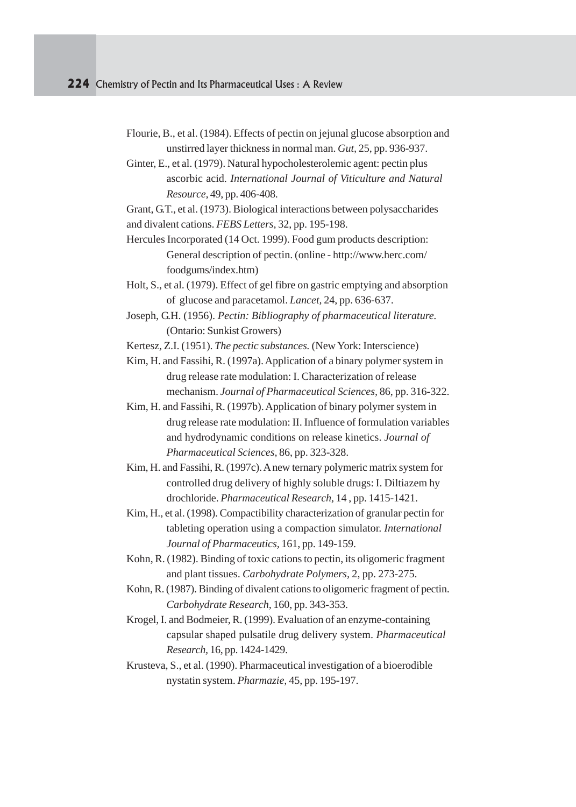- Flourie, B., et al. (1984). Effects of pectin on jejunal glucose absorption and unstirred layer thickness in normal man. *Gut,* 25, pp. 936-937.
- Ginter, E., et al. (1979). Natural hypocholesterolemic agent: pectin plus ascorbic acid. *International Journal of Viticulture and Natural Resource,* 49, pp. 406-408.

Grant, G.T., et al. (1973). Biological interactions between polysaccharides and divalent cations. *FEBS Letters,* 32, pp. 195-198.

Hercules Incorporated (14 Oct. 1999). Food gum products description: General description of pectin. (online - http://www.herc.com/ foodgums/index.htm)

Holt, S., et al. (1979). Effect of gel fibre on gastric emptying and absorption of glucose and paracetamol. *Lancet,* 24, pp. 636-637.

Joseph, G.H. (1956). *Pectin: Bibliography of pharmaceutical literature.* (Ontario: Sunkist Growers)

Kertesz, Z.I. (1951). *The pectic substances.* (New York: Interscience)

- Kim, H. and Fassihi, R. (1997a). Application of a binary polymer system in drug release rate modulation: I. Characterization of release mechanism. *Journal of Pharmaceutical Sciences,* 86, pp. 316-322.
- Kim, H. and Fassihi, R. (1997b). Application of binary polymer system in drug release rate modulation: II. Influence of formulation variables and hydrodynamic conditions on release kinetics. *Journal of Pharmaceutical Sciences,* 86, pp. 323-328.
- Kim, H. and Fassihi, R. (1997c). A new ternary polymeric matrix system for controlled drug delivery of highly soluble drugs: I. Diltiazem hy drochloride. *Pharmaceutical Research,* 14 , pp. 1415-1421.
- Kim, H., et al. (1998). Compactibility characterization of granular pectin for tableting operation using a compaction simulator. *International Journal of Pharmaceutics,* 161, pp. 149-159.
- Kohn, R. (1982). Binding of toxic cations to pectin, its oligomeric fragment and plant tissues. *Carbohydrate Polymers,* 2, pp. 273-275.
- Kohn, R. (1987). Binding of divalent cations to oligomeric fragment of pectin. *Carbohydrate Research,* 160, pp. 343-353.
- Krogel, I. and Bodmeier, R. (1999). Evaluation of an enzyme-containing capsular shaped pulsatile drug delivery system. *Pharmaceutical Research,* 16, pp. 1424-1429.
- Krusteva, S., et al. (1990). Pharmaceutical investigation of a bioerodible nystatin system. *Pharmazie,* 45, pp. 195-197.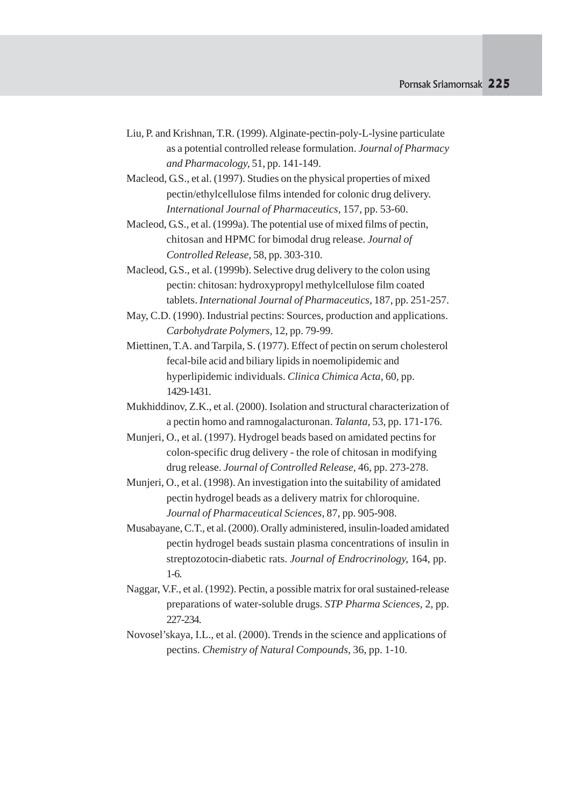- Liu, P. and Krishnan, T.R. (1999). Alginate-pectin-poly-L-lysine particulate as a potential controlled release formulation. *Journal of Pharmacy and Pharmacology,* 51, pp. 141-149.
- Macleod, G.S., et al. (1997). Studies on the physical properties of mixed pectin/ethylcellulose films intended for colonic drug delivery. *International Journal of Pharmaceutics,* 157, pp. 53-60.
- Macleod, G.S., et al. (1999a). The potential use of mixed films of pectin, chitosan and HPMC for bimodal drug release. *Journal of Controlled Release,* 58, pp. 303-310.
- Macleod, G.S., et al. (1999b). Selective drug delivery to the colon using pectin: chitosan: hydroxypropyl methylcellulose film coated tablets. *International Journal of Pharmaceutics,* 187, pp. 251-257.
- May, C.D. (1990). Industrial pectins: Sources, production and applications. *Carbohydrate Polymers,* 12, pp. 79-99.
- Miettinen, T.A. and Tarpila, S. (1977). Effect of pectin on serum cholesterol fecal-bile acid and biliary lipids in noemolipidemic and hyperlipidemic individuals. *Clinica Chimica Acta,* 60, pp. 1429-1431.
- Mukhiddinov, Z.K., et al. (2000). Isolation and structural characterization of a pectin homo and ramnogalacturonan. *Talanta,* 53, pp. 171-176.
- Munjeri, O., et al. (1997). Hydrogel beads based on amidated pectins for colon-specific drug delivery - the role of chitosan in modifying drug release. *Journal of Controlled Release,* 46, pp. 273-278.
- Munjeri, O., et al. (1998). An investigation into the suitability of amidated pectin hydrogel beads as a delivery matrix for chloroquine. *Journal of Pharmaceutical Sciences,* 87, pp. 905-908.
- Musabayane, C.T., et al. (2000). Orally administered, insulin-loaded amidated pectin hydrogel beads sustain plasma concentrations of insulin in streptozotocin-diabetic rats. *Journal of Endrocrinology,* 164, pp. 1-6.
- Naggar, V.F., et al. (1992). Pectin, a possible matrix for oral sustained-release preparations of water-soluble drugs. *STP Pharma Sciences,* 2, pp. 227-234.
- Novosel'skaya, I.L., et al. (2000). Trends in the science and applications of pectins. *Chemistry of Natural Compounds,* 36, pp. 1-10.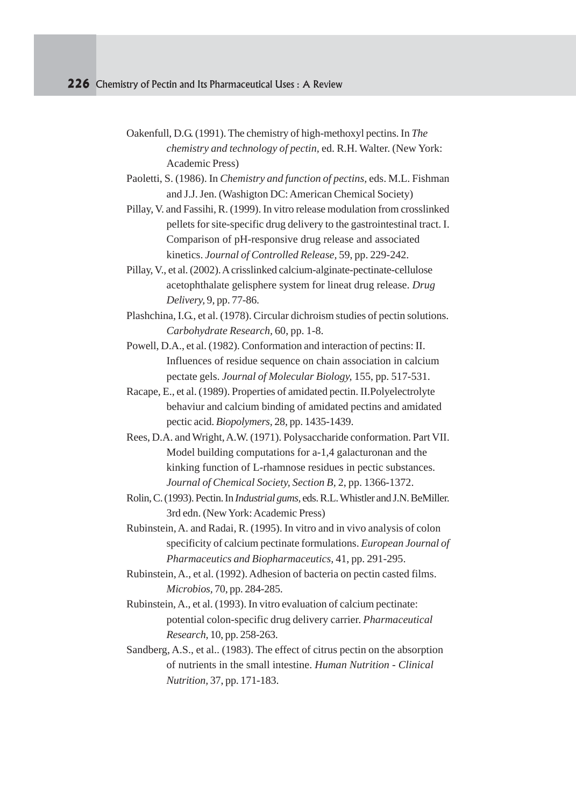- Oakenfull, D.G. (1991). The chemistry of high-methoxyl pectins. In *The chemistry and technology of pectin,* ed. R.H. Walter. (New York: Academic Press)
- Paoletti, S. (1986). In *Chemistry and function of pectins,* eds. M.L. Fishman and J.J. Jen. (Washigton DC: American Chemical Society)
- Pillay, V. and Fassihi, R. (1999). In vitro release modulation from crosslinked pellets for site-specific drug delivery to the gastrointestinal tract. I. Comparison of pH-responsive drug release and associated kinetics. *Journal of Controlled Release,* 59, pp. 229-242.
- Pillay, V., et al. (2002). A crisslinked calcium-alginate-pectinate-cellulose acetophthalate gelisphere system for lineat drug release. *Drug Delivery,* 9, pp. 77-86.
- Plashchina, I.G., et al. (1978). Circular dichroism studies of pectin solutions. *Carbohydrate Research,* 60, pp. 1-8.
- Powell, D.A., et al. (1982). Conformation and interaction of pectins: II. Influences of residue sequence on chain association in calcium pectate gels. *Journal of Molecular Biology,* 155, pp. 517-531.
- Racape, E., et al. (1989). Properties of amidated pectin. II.Polyelectrolyte behaviur and calcium binding of amidated pectins and amidated pectic acid. *Biopolymers,* 28, pp. 1435-1439.
- Rees, D.A. and Wright, A.W. (1971). Polysaccharide conformation. Part VII. Model building computations for a-1,4 galacturonan and the kinking function of L-rhamnose residues in pectic substances. *Journal of Chemical Society, Section B,* 2, pp. 1366-1372.
- Rolin, C. (1993). Pectin. In *Industrial gums,* eds. R.L. Whistler and J.N. BeMiller. 3rd edn. (New York: Academic Press)
- Rubinstein, A. and Radai, R. (1995). In vitro and in vivo analysis of colon specificity of calcium pectinate formulations. *European Journal of Pharmaceutics and Biopharmaceutics,* 41, pp. 291-295.
- Rubinstein, A., et al. (1992). Adhesion of bacteria on pectin casted films. *Microbios,* 70, pp. 284-285.
- Rubinstein, A., et al. (1993). In vitro evaluation of calcium pectinate: potential colon-specific drug delivery carrier. *Pharmaceutical Research,* 10, pp. 258-263.
- Sandberg, A.S., et al.. (1983). The effect of citrus pectin on the absorption of nutrients in the small intestine. *Human Nutrition - Clinical Nutrition,* 37, pp. 171-183.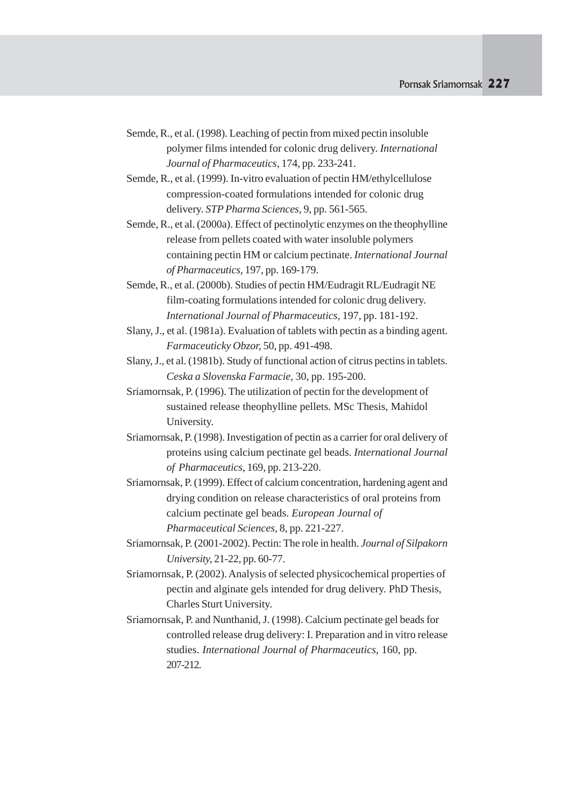- Semde, R., et al. (1998). Leaching of pectin from mixed pectin insoluble polymer films intended for colonic drug delivery. *International Journal of Pharmaceutics,* 174, pp. 233-241.
- Semde, R., et al. (1999). In-vitro evaluation of pectin HM/ethylcellulose compression-coated formulations intended for colonic drug delivery. *STP Pharma Sciences,* 9, pp. 561-565.
- Semde, R., et al. (2000a). Effect of pectinolytic enzymes on the theophylline release from pellets coated with water insoluble polymers containing pectin HM or calcium pectinate. *International Journal of Pharmaceutics,* 197, pp. 169-179.
- Semde, R., et al. (2000b). Studies of pectin HM/Eudragit RL/Eudragit NE film-coating formulations intended for colonic drug delivery. *International Journal of Pharmaceutics,* 197, pp. 181-192.
- Slany, J., et al. (1981a). Evaluation of tablets with pectin as a binding agent. *Farmaceuticky Obzor,* 50, pp. 491-498.
- Slany, J., et al. (1981b). Study of functional action of citrus pectins in tablets. *Ceska a Slovenska Farmacie,* 30, pp. 195-200.
- Sriamornsak, P. (1996). The utilization of pectin for the development of sustained release theophylline pellets. MSc Thesis, Mahidol University.
- Sriamornsak, P. (1998). Investigation of pectin as a carrier for oral delivery of proteins using calcium pectinate gel beads. *International Journal of Pharmaceutics,* 169, pp. 213-220.
- Sriamornsak, P. (1999). Effect of calcium concentration, hardening agent and drying condition on release characteristics of oral proteins from calcium pectinate gel beads. *European Journal of Pharmaceutical Sciences,* 8, pp. 221-227.
- Sriamornsak, P. (2001-2002). Pectin: The role in health. *Journal of Silpakorn University,* 21-22, pp. 60-77.
- Sriamornsak, P. (2002). Analysis of selected physicochemical properties of pectin and alginate gels intended for drug delivery. PhD Thesis, Charles Sturt University.
- Sriamornsak, P. and Nunthanid, J. (1998). Calcium pectinate gel beads for controlled release drug delivery: I. Preparation and in vitro release studies. *International Journal of Pharmaceutics,* 160, pp. 207-212.